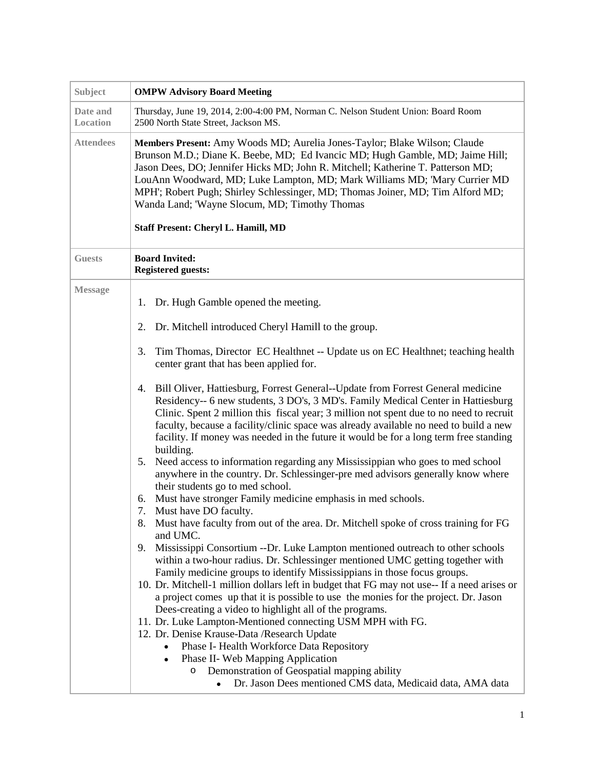| Subject              | <b>OMPW Advisory Board Meeting</b>                                                                                                                                                                                                                                                                                                                                                                                                                                                                                                                                                                                                                                                                                                                                                                                                                                                                                                                                                                                                                                                                                                                                                                                                                                                                                                                                                                                                                                                                                                                                                                                                                                                                                                                                                                                                                                                                                                                                                      |
|----------------------|-----------------------------------------------------------------------------------------------------------------------------------------------------------------------------------------------------------------------------------------------------------------------------------------------------------------------------------------------------------------------------------------------------------------------------------------------------------------------------------------------------------------------------------------------------------------------------------------------------------------------------------------------------------------------------------------------------------------------------------------------------------------------------------------------------------------------------------------------------------------------------------------------------------------------------------------------------------------------------------------------------------------------------------------------------------------------------------------------------------------------------------------------------------------------------------------------------------------------------------------------------------------------------------------------------------------------------------------------------------------------------------------------------------------------------------------------------------------------------------------------------------------------------------------------------------------------------------------------------------------------------------------------------------------------------------------------------------------------------------------------------------------------------------------------------------------------------------------------------------------------------------------------------------------------------------------------------------------------------------------|
| Date and<br>Location | Thursday, June 19, 2014, 2:00-4:00 PM, Norman C. Nelson Student Union: Board Room<br>2500 North State Street, Jackson MS.                                                                                                                                                                                                                                                                                                                                                                                                                                                                                                                                                                                                                                                                                                                                                                                                                                                                                                                                                                                                                                                                                                                                                                                                                                                                                                                                                                                                                                                                                                                                                                                                                                                                                                                                                                                                                                                               |
| <b>Attendees</b>     | Members Present: Amy Woods MD; Aurelia Jones-Taylor; Blake Wilson; Claude<br>Brunson M.D.; Diane K. Beebe, MD; Ed Ivancic MD; Hugh Gamble, MD; Jaime Hill;<br>Jason Dees, DO; Jennifer Hicks MD; John R. Mitchell; Katherine T. Patterson MD;<br>LouAnn Woodward, MD; Luke Lampton, MD; Mark Williams MD; 'Mary Currier MD<br>MPH'; Robert Pugh; Shirley Schlessinger, MD; Thomas Joiner, MD; Tim Alford MD;<br>Wanda Land; 'Wayne Slocum, MD; Timothy Thomas<br><b>Staff Present: Cheryl L. Hamill, MD</b>                                                                                                                                                                                                                                                                                                                                                                                                                                                                                                                                                                                                                                                                                                                                                                                                                                                                                                                                                                                                                                                                                                                                                                                                                                                                                                                                                                                                                                                                             |
| <b>Guests</b>        | <b>Board Invited:</b><br><b>Registered guests:</b>                                                                                                                                                                                                                                                                                                                                                                                                                                                                                                                                                                                                                                                                                                                                                                                                                                                                                                                                                                                                                                                                                                                                                                                                                                                                                                                                                                                                                                                                                                                                                                                                                                                                                                                                                                                                                                                                                                                                      |
| <b>Message</b>       | Dr. Hugh Gamble opened the meeting.<br>1.<br>Dr. Mitchell introduced Cheryl Hamill to the group.<br>2.<br>Tim Thomas, Director EC Healthnet -- Update us on EC Healthnet; teaching health<br>3.<br>center grant that has been applied for.<br>Bill Oliver, Hattiesburg, Forrest General--Update from Forrest General medicine<br>4.<br>Residency-- 6 new students, 3 DO's, 3 MD's. Family Medical Center in Hattiesburg<br>Clinic. Spent 2 million this fiscal year; 3 million not spent due to no need to recruit<br>faculty, because a facility/clinic space was already available no need to build a new<br>facility. If money was needed in the future it would be for a long term free standing<br>building.<br>Need access to information regarding any Mississippian who goes to med school<br>5.<br>anywhere in the country. Dr. Schlessinger-pre med advisors generally know where<br>their students go to med school.<br>Must have stronger Family medicine emphasis in med schools.<br>6.<br>7.<br>Must have DO faculty.<br>Must have faculty from out of the area. Dr. Mitchell spoke of cross training for FG<br>8.<br>and UMC.<br>Mississippi Consortium --Dr. Luke Lampton mentioned outreach to other schools<br>9.<br>within a two-hour radius. Dr. Schlessinger mentioned UMC getting together with<br>Family medicine groups to identify Mississippians in those focus groups.<br>10. Dr. Mitchell-1 million dollars left in budget that FG may not use-- If a need arises or<br>a project comes up that it is possible to use the monies for the project. Dr. Jason<br>Dees-creating a video to highlight all of the programs.<br>11. Dr. Luke Lampton-Mentioned connecting USM MPH with FG.<br>12. Dr. Denise Krause-Data / Research Update<br>Phase I- Health Workforce Data Repository<br>Phase II- Web Mapping Application<br>$\bullet$<br>Demonstration of Geospatial mapping ability<br>$\circ$<br>Dr. Jason Dees mentioned CMS data, Medicaid data, AMA data |